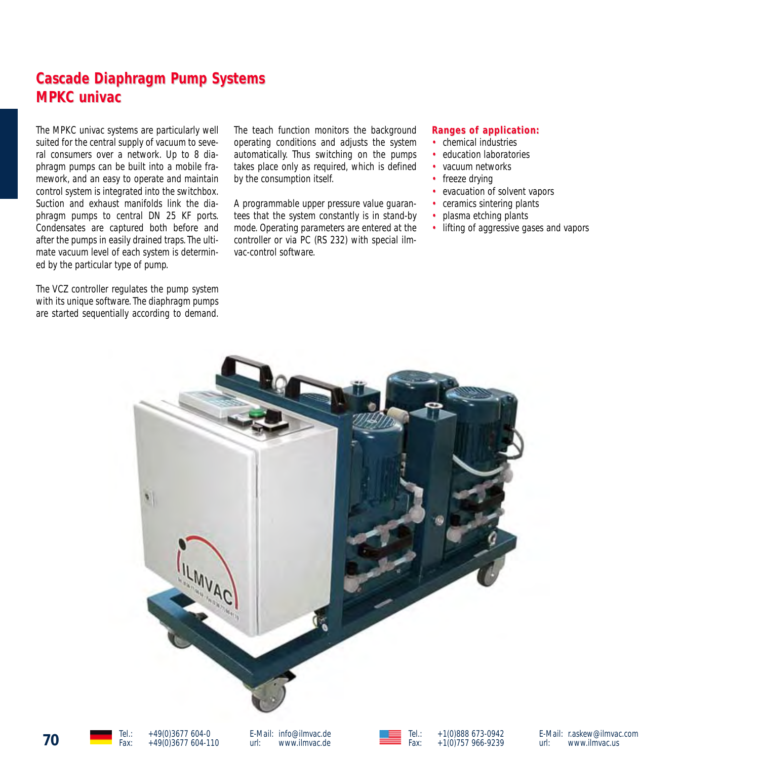# **Cascade Diaphragm Pump Systems MPKC univac MPKC univac**

The MPKC univac systems are particularly well suited for the central supply of vacuum to several consumers over a network. Up to 8 diaphragm pumps can be built into a mobile framework, and an easy to operate and maintain control system is integrated into the switchbox. Suction and exhaust manifolds link the diaphragm pumps to central DN 25 KF ports. Condensates are captured both before and after the pumps in easily drained traps. The ultimate vacuum level of each system is determined by the particular type of pump.

The VCZ controller regulates the pump system with its unique software. The diaphragm pumps are started sequentially according to demand. The teach function monitors the background operating conditions and adjusts the system automatically. Thus switching on the pumps takes place only as required, which is defined by the consumption itself.

A programmable upper pressure value guarantees that the system constantly is in stand-by mode. Operating parameters are entered at the controller or via PC (RS 232) with special ilmvac-control software.

#### **Ranges of application: Ranges of application:**

- chemical industries
- education laboratories
- vacuum networks
- freeze drving
- evacuation of solvent vapors
- ceramics sintering plants
- plasma etching plants
- lifting of aggressive gases and vapors



E-Mail: r.askew@ilmvac.com<br>url: www.ilmvac.us www.ilmvac.us